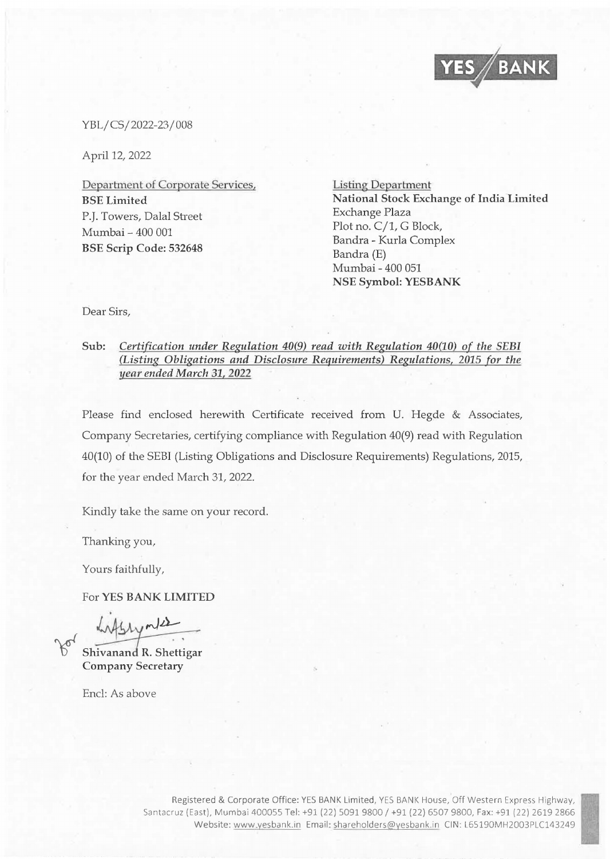

YBL/ CS/ 2022-23 / 008

April 12, 2022

Department of Corporate Services, BSE Limited P.J. Towers, Dalal Street Mumbai - 400 001 BSE Scrip Code: 532648

Listing Department National Stock Exchange of India Limited Exchange Plaza Plot no. C/1, G Block, Bandra - Kurla Complex Bandra (E) Mumbai - 400 051 NSE Symbol: YESBANK

Dear Sirs,

## Sub: *Certification under Regulation* 40(9) *read with Regulation* 40(10) *of the SEBI (Listing Obligations and Disclosure Requirements) Regulations, 2015 for the 11ear ended March 31,* 2022

Please find enclosed herewith Certificate received from U. Hegde & Associates, Company Secretaries, certifying compliance with Regulation 40(9) read with Regulation 40(10) of the SEBI (Listing Obligations and Disclosure Requirements) Regulations, 2015, for the year ended March 31, 2022.

Kindly take the same on your record.

Thanking you,

Yours faithfully,

For YES BANK LIMITED

 $W_1 \wedge W_2$ <br>Shivanand R. Shettigar

Company Secretary

Encl: As above

Registered & Corporate Office: YES BANK Limited, YES BANK House, Off Western Express Highway, Santacruz (East), Mumbai 400055 Tel: +91 (22) 5091 9800 / +91 (22) 6507 9800, Fax: +91 (22) 2619 2866 Website: www.yesbank.in Email: shareholders@vesbank.in CIN: L65190MH2003PLC143249